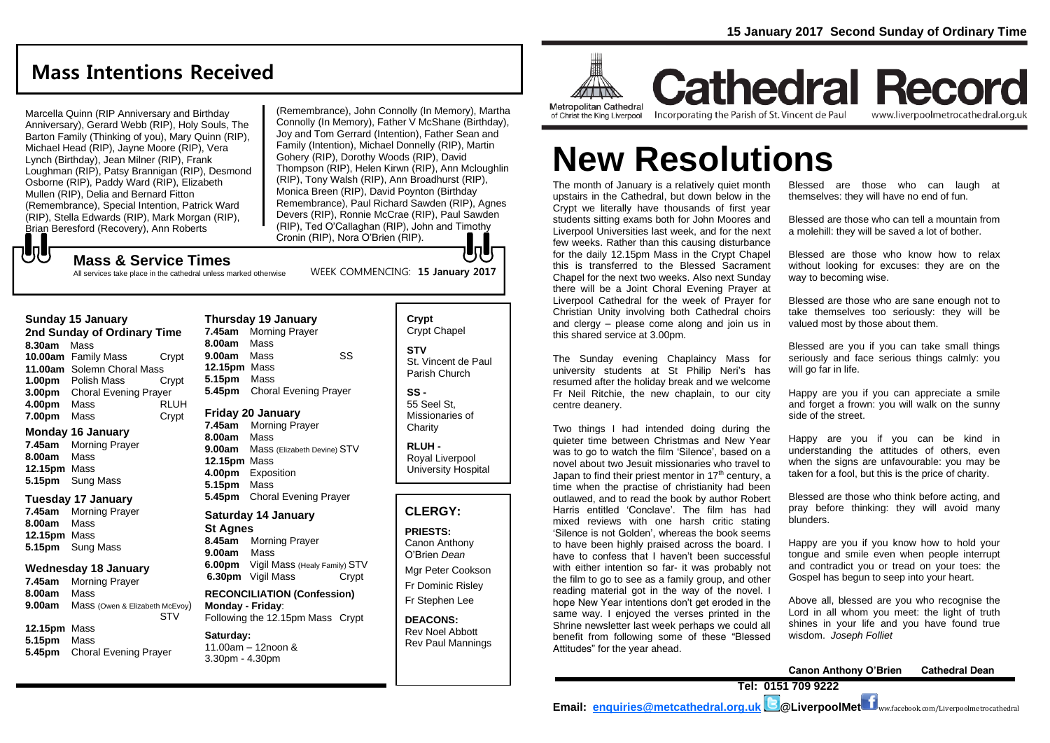## **Mass Intentions Received**

Marcella Quinn (RIP Anniversary and Birthday Anniversary), Gerard Webb (RIP), Holy Souls, The Barton Family (Thinking of you), Mary Quinn (RIP), Michael Head (RIP), Jayne Moore (RIP), Vera Lynch (Birthday), Jean Milner (RIP), Frank Loughman (RIP), Patsy Brannigan (RIP), Desmond Osborne (RIP), Paddy Ward (RIP), Elizabeth Mullen (RIP), Delia and Bernard Fitton (Remembrance), Special Intention, Patrick Ward (RIP), Stella Edwards (RIP), Mark Morgan (RIP), Brian Beresford (Recovery), Ann Roberts

(Remembrance), John Connolly (In Memory), Martha Connolly (In Memory), Father V McShane (Birthday), Joy and Tom Gerrard (Intention), Father Sean and Family (Intention), Michael Donnelly (RIP), Martin Gohery (RIP), Dorothy Woods (RIP), David Thompson (RIP), Helen Kirwn (RIP), Ann Mcloughlin (RIP), Tony Walsh (RIP), Ann Broadhurst (RIP), Monica Breen (RIP), David Poynton (Birthday Remembrance), Paul Richard Sawden (RIP), Agnes Devers (RIP), Ronnie McCrae (RIP), Paul Sawden (RIP), Ted O'Callaghan (RIP), John and Timothy Cronin (RIP), Nora O'Brien (RIP). lo Li

WEEK COMMENCING: **15 January 2017**

### **Mass & Service Times**

All services take place in the cathedral unless marked otherwise

### **Sunday 15 January**

もし

**2nd Sunday of Ordinary Time 8.30am** Mass **10.00am** Family Mass Crypt **11.00am** Solemn Choral Mass **1.00pm** Polish Mass Crypt **3.00pm** Choral Evening Prayer **4.00pm** Mass RLUH **7.00pm** Mass Crypt

### **Monday 16 January**

**7.45am** Morning Prayer **8.00am** Mass **12.15pm** Mass **5.15pm** Sung Mass

### **Tuesday 17 January**

**7.45am** Morning Prayer **8.00am** Mass **12.15pm** Mass **5.15pm** Sung Mass

### **Wednesday 18 January**

- **7.45am** Morning Prayer **8.00am** Mass **9.00am** Mass (Owen & Elizabeth McEvoy) STV
- **12.15pm** Mass **5.15pm** Mass **5.45pm** Choral Evening Prayer

**Thursday 19 January 7.45am** Morning Prayer **8.00am** Mass **9.00am** Mass SS **12.15pm** Mass **5.15pm** Mass **5.45pm** Choral Evening Prayer

### **Friday 20 January**

**7.45am** Morning Prayer **8.00am** Mass **9.00am** Mass (Elizabeth Devine) STV **12.15pm** Mass **4.00pm** Exposition **5.15pm** Mass **5.45pm** Choral Evening Prayer

### **Saturday 14 January St Agnes**

**8.45am** Morning Prayer **9.00am** Mass **6.00pm** Vigil Mass (Healy Family) STV **6.30pm** Vigil Mass Crypt

**RECONCILIATION (Confession) Monday - Friday**: Following the 12.15pm Mass Crypt

**RECONCILIATION (Confession)** 

#### **Saturday:** 11.00am – 12noon & 3.30pm - 4.30pm

## **Crypt**  Crypt Chapel **STV**

St. Vincent de Paul Parish Church

**SS -** 55 Seel St, Missionaries of **Charity** 

**RLUH -** Royal Liverpool University Hospital

### **CLERGY:**

**PRIESTS:** Canon Anthony O'Brien *Dean*

Mgr Peter Cookson Fr Dominic Risley Fr Stephen Lee

**DEACONS:** Rev Noel Abbott Rev Paul Mannings



## **Cathedral Record** Incorporating the Parish of St. Vincent de Paul www.liverpoolmetrocathedral.org.uk

of Christ the King Liverpool

# **New Resolutions**

The month of January is a relatively quiet month upstairs in the Cathedral, but down below in the Crypt we literally have thousands of first year students sitting exams both for John Moores and Liverpool Universities last week, and for the next few weeks. Rather than this causing disturbance for the daily 12.15pm Mass in the Crypt Chapel this is transferred to the Blessed Sacrament Chapel for the next two weeks. Also next Sunday there will be a Joint Choral Evening Prayer at Liverpool Cathedral for the week of Prayer for Christian Unity involving both Cathedral choirs and clergy – please come along and join us in this shared service at 3.00pm.

The Sunday evening Chaplaincy Mass for university students at St Philip Neri's has resumed after the holiday break and we welcome Fr Neil Ritchie, the new chaplain, to our city centre deanery.

Two things I had intended doing during the quieter time between Christmas and New Year was to go to watch the film 'Silence', based on a novel about two Jesuit missionaries who travel to Japan to find their priest mentor in  $17<sup>th</sup>$  century, a time when the practise of christianity had been outlawed, and to read the book by author Robert Harris entitled 'Conclave'. The film has had mixed reviews with one harsh critic stating 'Silence is not Golden', whereas the book seems to have been highly praised across the board. I have to confess that I haven't been successful with either intention so far- it was probably not the film to go to see as a family group, and other reading material got in the way of the novel. I hope New Year intentions don't get eroded in the same way. I enjoyed the verses printed in the Shrine newsletter last week perhaps we could all benefit from following some of these "Blessed Attitudes" for the year ahead.

Blessed are those who can laugh at themselves: they will have no end of fun.

Blessed are those who can tell a mountain from a molehill: they will be saved a lot of bother.

Blessed are those who know how to relax without looking for excuses: they are on the way to becoming wise.

Blessed are those who are sane enough not to take themselves too seriously: they will be valued most by those about them.

Blessed are you if you can take small things seriously and face serious things calmly: you will go far in life.

Happy are you if you can appreciate a smile and forget a frown: you will walk on the sunny side of the street.

Happy are you if you can be kind in understanding the attitudes of others, even when the signs are unfavourable: you may be taken for a fool, but this is the price of charity.

Blessed are those who think before acting, and pray before thinking: they will avoid many blunders.

Happy are you if you know how to hold your tongue and smile even when people interrupt and contradict you or tread on your toes: the Gospel has begun to seep into your heart.

Above all, blessed are you who recognise the Lord in all whom you meet: the light of truth shines in your life and you have found true wisdom. *Joseph Folliet*



**Email: [enquiries@metcathedral.org.uk](mailto:enquiries@metcathedral.org.uk) @LiverpoolMet** ww.facebook.com/Liverpoolmetrocathedral